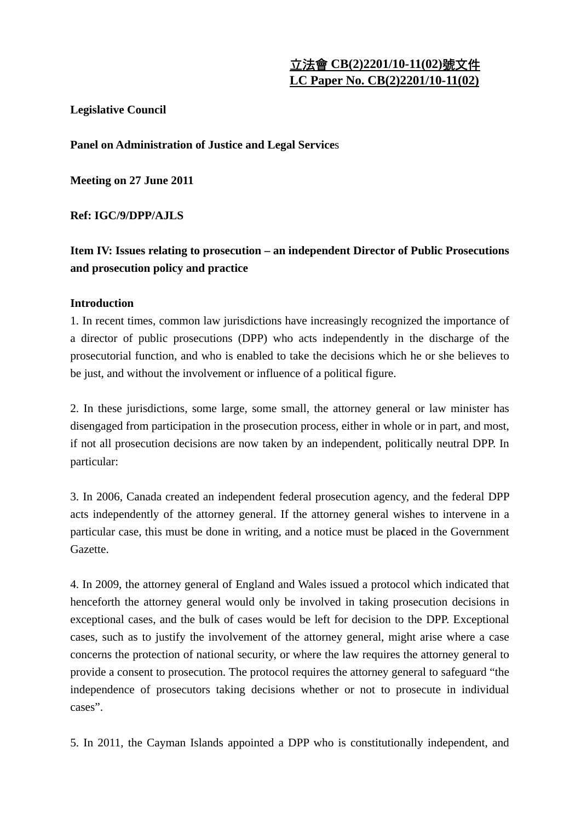# 立法會 **CB(2)2201/10-11(02)**號文件 **LC Paper No. CB(2)2201/10-11(02)**

# **Legislative Council**

**Panel on Administration of Justice and Legal Service**s

**Meeting on 27 June 2011** 

**Ref: IGC/9/DPP/AJLS** 

**Item IV: Issues relating to prosecution – an independent Director of Public Prosecutions and prosecution policy and practice** 

# **Introduction**

1. In recent times, common law jurisdictions have increasingly recognized the importance of a director of public prosecutions (DPP) who acts independently in the discharge of the prosecutorial function, and who is enabled to take the decisions which he or she believes to be just, and without the involvement or influence of a political figure.

2. In these jurisdictions, some large, some small, the attorney general or law minister has disengaged from participation in the prosecution process, either in whole or in part, and most, if not all prosecution decisions are now taken by an independent, politically neutral DPP. In particular:

3. In 2006, Canada created an independent federal prosecution agency, and the federal DPP acts independently of the attorney general. If the attorney general wishes to intervene in a particular case, this must be done in writing, and a notice must be pla**c**ed in the Government Gazette.

4. In 2009, the attorney general of England and Wales issued a protocol which indicated that henceforth the attorney general would only be involved in taking prosecution decisions in exceptional cases, and the bulk of cases would be left for decision to the DPP. Exceptional cases, such as to justify the involvement of the attorney general, might arise where a case concerns the protection of national security, or where the law requires the attorney general to provide a consent to prosecution. The protocol requires the attorney general to safeguard "the independence of prosecutors taking decisions whether or not to prosecute in individual cases".

5. In 2011, the Cayman Islands appointed a DPP who is constitutionally independent, and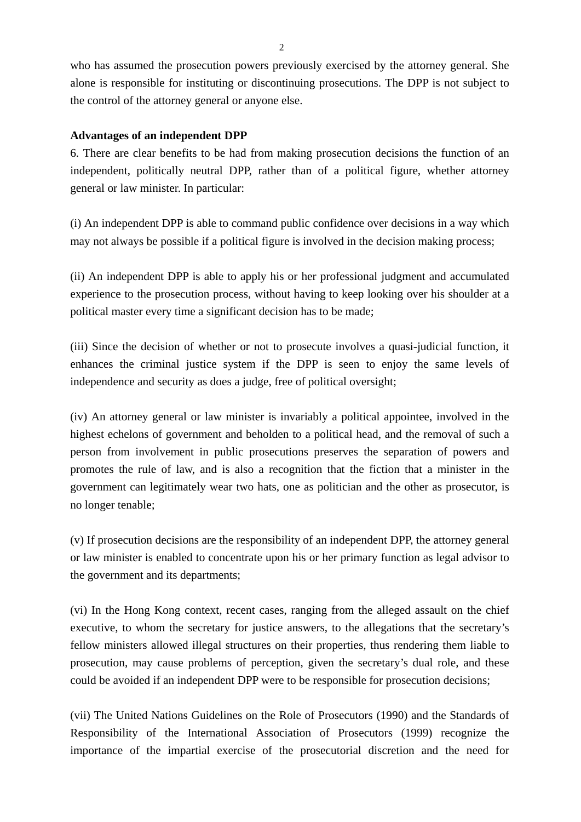who has assumed the prosecution powers previously exercised by the attorney general. She alone is responsible for instituting or discontinuing prosecutions. The DPP is not subject to the control of the attorney general or anyone else.

## **Advantages of an independent DPP**

6. There are clear benefits to be had from making prosecution decisions the function of an independent, politically neutral DPP, rather than of a political figure, whether attorney general or law minister. In particular:

(i) An independent DPP is able to command public confidence over decisions in a way which may not always be possible if a political figure is involved in the decision making process;

(ii) An independent DPP is able to apply his or her professional judgment and accumulated experience to the prosecution process, without having to keep looking over his shoulder at a political master every time a significant decision has to be made;

(iii) Since the decision of whether or not to prosecute involves a quasi-judicial function, it enhances the criminal justice system if the DPP is seen to enjoy the same levels of independence and security as does a judge, free of political oversight;

(iv) An attorney general or law minister is invariably a political appointee, involved in the highest echelons of government and beholden to a political head, and the removal of such a person from involvement in public prosecutions preserves the separation of powers and promotes the rule of law, and is also a recognition that the fiction that a minister in the government can legitimately wear two hats, one as politician and the other as prosecutor, is no longer tenable;

(v) If prosecution decisions are the responsibility of an independent DPP, the attorney general or law minister is enabled to concentrate upon his or her primary function as legal advisor to the government and its departments;

(vi) In the Hong Kong context, recent cases, ranging from the alleged assault on the chief executive, to whom the secretary for justice answers, to the allegations that the secretary's fellow ministers allowed illegal structures on their properties, thus rendering them liable to prosecution, may cause problems of perception, given the secretary's dual role, and these could be avoided if an independent DPP were to be responsible for prosecution decisions;

(vii) The United Nations Guidelines on the Role of Prosecutors (1990) and the Standards of Responsibility of the International Association of Prosecutors (1999) recognize the importance of the impartial exercise of the prosecutorial discretion and the need for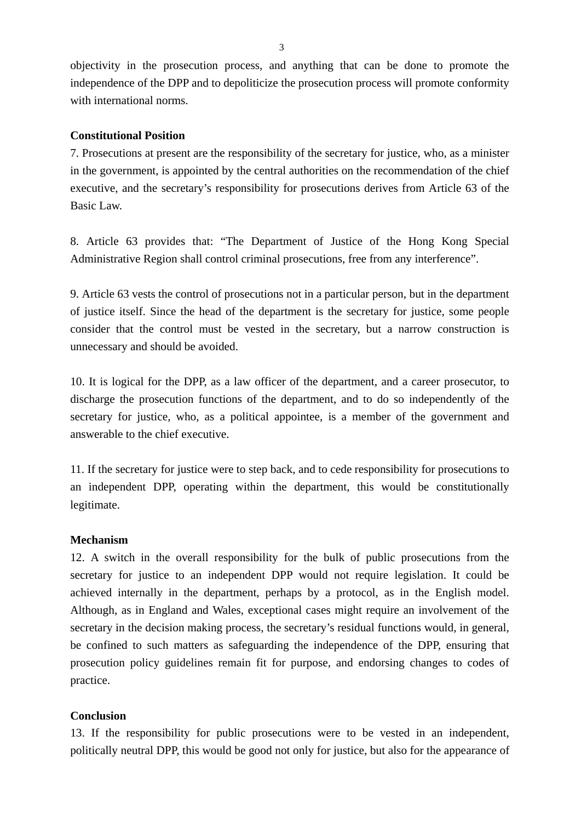objectivity in the prosecution process, and anything that can be done to promote the independence of the DPP and to depoliticize the prosecution process will promote conformity with international norms.

### **Constitutional Position**

7. Prosecutions at present are the responsibility of the secretary for justice, who, as a minister in the government, is appointed by the central authorities on the recommendation of the chief executive, and the secretary's responsibility for prosecutions derives from Article 63 of the Basic Law.

8. Article 63 provides that: "The Department of Justice of the Hong Kong Special Administrative Region shall control criminal prosecutions, free from any interference".

9. Article 63 vests the control of prosecutions not in a particular person, but in the department of justice itself. Since the head of the department is the secretary for justice, some people consider that the control must be vested in the secretary, but a narrow construction is unnecessary and should be avoided.

10. It is logical for the DPP, as a law officer of the department, and a career prosecutor, to discharge the prosecution functions of the department, and to do so independently of the secretary for justice, who, as a political appointee, is a member of the government and answerable to the chief executive.

11. If the secretary for justice were to step back, and to cede responsibility for prosecutions to an independent DPP, operating within the department, this would be constitutionally legitimate.

#### **Mechanism**

12. A switch in the overall responsibility for the bulk of public prosecutions from the secretary for justice to an independent DPP would not require legislation. It could be achieved internally in the department, perhaps by a protocol, as in the English model. Although, as in England and Wales, exceptional cases might require an involvement of the secretary in the decision making process, the secretary's residual functions would, in general, be confined to such matters as safeguarding the independence of the DPP, ensuring that prosecution policy guidelines remain fit for purpose, and endorsing changes to codes of practice.

#### **Conclusion**

13. If the responsibility for public prosecutions were to be vested in an independent, politically neutral DPP, this would be good not only for justice, but also for the appearance of